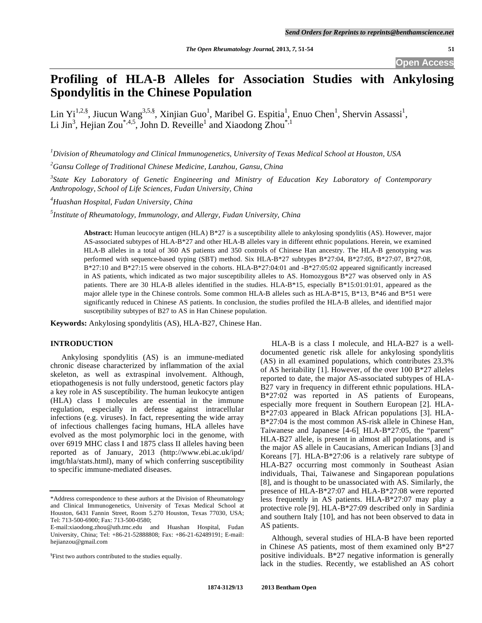**Open Access** 

# **Profiling of HLA-B Alleles for Association Studies with Ankylosing Spondylitis in the Chinese Population**

Lin Yi<sup>1,2,§</sup>, Jiucun Wang<sup>3,5,§</sup>, Xinjian Guo<sup>1</sup>, Maribel G. Espitia<sup>1</sup>, Enuo Chen<sup>1</sup>, Shervin Assassi<sup>1</sup>, Li Jin<sup>3</sup>, Hejian Zou<sup>\*,4,5</sup>, John D. Reveille<sup>1</sup> and Xiaodong Zhou<sup>\*,1</sup>

*1 Division of Rheumatology and Clinical Immunogenetics, University of Texas Medical School at Houston, USA* 

*2 Gansu College of Traditional Chinese Medicine, Lanzhou, Gansu, China* 

<sup>3</sup> State Key Laboratory of Genetic Engineering and Ministry of Education Key Laboratory of Contemporary *Anthropology, School of Life Sciences, Fudan University, China* 

*4 Huashan Hospital, Fudan University, China* 

*5 Institute of Rheumatology, Immunology, and Allergy, Fudan University, China* 

**Abstract:** Human leucocyte antigen (HLA) B\*27 is a susceptibility allele to ankylosing spondylitis (AS). However, major AS-associated subtypes of HLA-B\*27 and other HLA-B alleles vary in different ethnic populations. Herein, we examined HLA-B alleles in a total of 360 AS patients and 350 controls of Chinese Han ancestry. The HLA-B genotyping was performed with sequence-based typing (SBT) method. Six HLA-B\*27 subtypes B\*27:04, B\*27:05, B\*27:07, B\*27:08, B\*27:10 and B\*27:15 were observed in the cohorts. HLA-B\*27:04:01 and -B\*27:05:02 appeared significantly increased in AS patients, which indicated as two major susceptibility alleles to AS. Homozygous B\*27 was observed only in AS patients. There are 30 HLA-B alleles identified in the studies. HLA-B\*15, especially B\*15:01:01:01, appeared as the major allele type in the Chinese controls. Some common HLA-B alleles such as HLA-B\*15, B\*13, B\*46 and B\*51 were significantly reduced in Chinese AS patients. In conclusion, the studies profiled the HLA-B alleles, and identified major susceptibility subtypes of B27 to AS in Han Chinese population.

**Keywords:** Ankylosing spondylitis (AS), HLA-B27, Chinese Han.

# **INTRODUCTION**

 Ankylosing spondylitis (AS) is an immune-mediated chronic disease characterized by inflammation of the axial skeleton, as well as extraspinal involvement. Although, etiopathogenesis is not fully understood, genetic factors play a key role in AS susceptibility. The human leukocyte antigen (HLA) class I molecules are essential in the immune regulation, especially in defense against intracellular infections (e.g. viruses). In fact, representing the wide array of infectious challenges facing humans, HLA alleles have evolved as the most polymorphic loci in the genome, with over 6919 MHC class I and 1875 class II alleles having been reported as of January, 2013 (http://www.ebi.ac.uk/ipd/ imgt/hla/stats.html), many of which conferring susceptibility to specific immune-mediated diseases.

 HLA-B is a class I molecule, and HLA-B27 is a welldocumented genetic risk allele for ankylosing spondylitis (AS) in all examined populations, which contributes 23.3% of AS heritability [1]. However, of the over 100 B\*27 alleles reported to date, the major AS-associated subtypes of HLA-B27 vary in frequency in different ethnic populations. HLA-B\*27:02 was reported in AS patients of Europeans, especially more frequent in Southern European [2]. HLA-B\*27:03 appeared in Black African populations [3]. HLA-B\*27:04 is the most common AS-risk allele in Chinese Han, Taiwanese and Japanese [4-6], HLA-B\*27:05, the "parent" HLA-B27 allele, is present in almost all populations, and is the major AS allele in Caucasians, American Indians [3] and Koreans [7]. HLA-B\*27:06 is a relatively rare subtype of HLA-B27 occurring most commonly in Southeast Asian individuals, Thai, Taiwanese and Singaporean populations [8], and is thought to be unassociated with AS. Similarly, the presence of HLA-B\*27:07 and HLA-B\*27:08 were reported less frequently in AS patients. HLA-B\*27:07 may play a protective role [9]. HLA-B\*27:09 described only in Sardinia and southern Italy [10], and has not been observed to data in AS patients.

 Although, several studies of HLA-B have been reported in Chinese AS patients, most of them examined only  $B*27$ positive individuals. B\*27 negative information is generally lack in the studies. Recently, we established an AS cohort

<sup>\*</sup>Address correspondence to these authors at the Division of Rheumatology and Clinical Immunogenetics, University of Texas Medical School at Houston, 6431 Fannin Street, Room 5.270 Houston, Texas 77030, USA; Tel: 713-500-6900; Fax: 713-500-0580;

E-mail:xiaodong.zhou@uth.tmc.edu and Huashan Hospital, Fudan University, China; Tel: +86-21-52888808; Fax: +86-21-62489191; E-mail: hejianzou@gmail.com

<sup>&</sup>lt;sup>§</sup>First two authors contributed to the studies equally.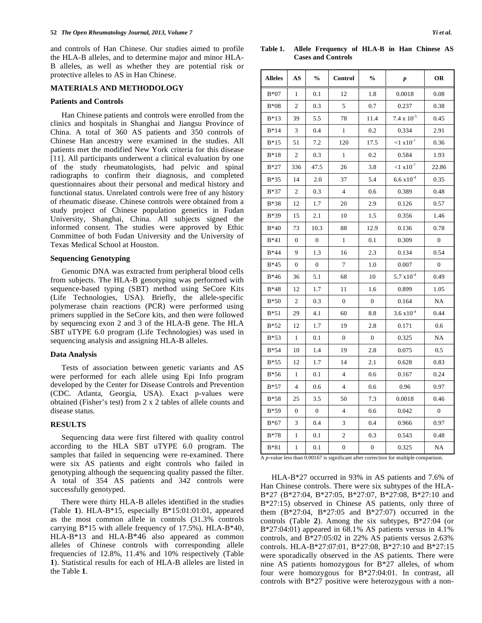and controls of Han Chinese. Our studies aimed to profile the HLA-B alleles, and to determine major and minor HLA-B alleles, as well as whether they are potential risk or protective alleles to AS in Han Chinese.

## **MATERIALS AND METHODOLOGY**

#### **Patients and Controls**

 Han Chinese patients and controls were enrolled from the clinics and hospitals in Shanghai and Jiangsu Province of China. A total of 360 AS patients and 350 controls of Chinese Han ancestry were examined in the studies. All patients met the modified New York criteria for this disease [11]. All participants underwent a clinical evaluation by one of the study rheumatologists, had pelvic and spinal radiographs to confirm their diagnosis, and completed questionnaires about their personal and medical history and functional status. Unrelated controls were free of any history of rheumatic disease. Chinese controls were obtained from a study project of Chinese population genetics in Fudan University, Shanghai, China. All subjects signed the informed consent. The studies were approved by Ethic Committee of both Fudan University and the University of Texas Medical School at Houston.

# **Sequencing Genotyping**

 Genomic DNA was extracted from peripheral blood cells from subjects. The HLA-B genotyping was performed with sequence-based typing (SBT) method using SeCore Kits (Life Technologies, USA). Briefly, the allele-specific polymerase chain reactions (PCR) were performed using primers supplied in the SeCore kits, and then were followed by sequencing exon 2 and 3 of the HLA-B gene. The HLA SBT uTYPE 6.0 program (Life Technologies) was used in sequencing analysis and assigning HLA-B alleles.

#### **Data Analysis**

 Tests of association between genetic variants and AS were performed for each allele using Epi Info program developed by the Center for Disease Controls and Prevention (CDC. Atlanta, Georgia, USA). Exact p-values were obtained (Fisher's test) from 2 x 2 tables of allele counts and disease status.

#### **RESULTS**

 Sequencing data were first filtered with quality control according to the HLA SBT uTYPE 6.0 program. The samples that failed in sequencing were re-examined. There were six AS patients and eight controls who failed in genotyping although the sequencing quality passed the filter. A total of 354 AS patients and 342 controls were successfully genotyped.

 There were thirty HLA-B alleles identified in the studies (Table **1**). HLA-B\*15, especially B\*15:01:01:01, appeared as the most common allele in controls (31.3% controls carrying B\*15 with allele frequency of 17.5%). HLA-B\*40, HLA-B\*13 and HLA-B\*46 also appeared as common alleles of Chinese controls with corresponding allele frequencies of 12.8%, 11.4% and 10% respectively (Table **1**). Statistical results for each of HLA-B alleles are listed in the Table **1**.

**Table 1. Allele Frequency of HLA-B in Han Chinese AS Cases and Controls** 

| <b>Alleles</b> | AS             | $\frac{0}{0}$  | Control          | $\frac{0}{0}$    | $\pmb{p}$            | OR           |
|----------------|----------------|----------------|------------------|------------------|----------------------|--------------|
| $B*07$         | 1              | 0.1            | 12               | 1.8              | 0.0018               | 0.08         |
| $B*08$         | 2              | 0.3            | 5                | 0.7              | 0.237                | 0.38         |
| $B*13$         | 39             | 5.5            | 78               | 11.4             | $7.4 \times 10^{-5}$ | 0.45         |
| $B*14$         | 3              | 0.4            | 1                | 0.2              | 0.334                | 2.91         |
| $B*15$         | 51             | 7.2            | 120              | 17.5             | ${<}1x10^{-7}$       | 0.36         |
| $B*18$         | $\overline{c}$ | 0.3            | $\mathbf{1}$     | 0.2              | 0.584                | 1.93         |
| $B*27$         | 336            | 47.5           | 26               | 3.8              | $< 1 x 10^{-7}$      | 22.86        |
| $B*35$         | 14             | 2.0            | 37               | 5.4              | $6.6 \times 10^{-4}$ | 0.35         |
| $B*37$         | 2              | 0.3            | $\overline{4}$   | 0.6              | 0.389                | 0.48         |
| $B*38$         | 12             | 1.7            | 20               | 2.9              | 0.126                | 0.57         |
| $B*39$         | 15             | 2.1            | 10               | 1.5              | 0.356                | 1.46         |
| $B*40$         | 73             | 10.3           | 88               | 12.9             | 0.136                | 0.78         |
| $B*41$         | $\mathbf{0}$   | $\overline{0}$ | 1                | 0.1              | 0.309                | $\mathbf{0}$ |
| $B*44$         | 9              | 1.3            | 16               | 2.3              | 0.134                | 0.54         |
| $B*45$         | $\mathbf{0}$   | $\Omega$       | 7                | 1.0              | 0.007                | $\mathbf{0}$ |
| $B*46$         | 36             | 5.1            | 68               | 10               | $5.7 \times 10^{-4}$ | 0.49         |
| $B*48$         | 12             | 1.7            | 11               | 1.6              | 0.899                | 1.05         |
| $B*50$         | 2              | 0.3            | $\mathbf{0}$     | $\mathbf{0}$     | 0.164                | NA           |
| $B*51$         | 29             | 4.1            | 60               | 8.8              | $3.6 \times 10^{-4}$ | 0.44         |
| $B*52$         | 12             | 1.7            | 19               | 2.8              | 0.171                | 0.6          |
| $B*53$         | 1              | $_{0.1}$       | $\boldsymbol{0}$ | $\mathbf{0}$     | 0.325                | NA           |
| $B*54$         | 10             | 1.4            | 19               | 2.8              | 0.075                | 0.5          |
| $B*55$         | 12             | 1.7            | 14               | 2.1              | 0.628                | 0.83         |
| $B*56$         | 1              | 0.1            | $\overline{4}$   | 0.6              | 0.167                | 0.24         |
| $B*57$         | $\overline{4}$ | 0.6            | $\overline{4}$   | 0.6              | 0.96                 | 0.97         |
| $B*58$         | 25             | 3.5            | 50               | 7.3              | 0.0018               | 0.46         |
| $B*59$         | $\mathbf{0}$   | $\mathbf{0}$   | 4                | 0.6              | 0.042                | $\mathbf{0}$ |
| $B*67$         | 3              | 0.4            | 3                | 0.4              | 0.966                | 0.97         |
| $B*78$         | 1              | 0.1            | $\overline{2}$   | 0.3              | 0.543                | 0.48         |
| $B*81$         | 1              | 0.1            | $\boldsymbol{0}$ | $\boldsymbol{0}$ | 0.325                | NA           |

A *p*-value less than 0.00167 is significant after correction for multiple comparison.

 HLA-B\*27 occurred in 93% in AS patients and 7.6% of Han Chinese controls. There were six subtypes of the HLA-B\*27 (B\*27:04, B\*27:05, B\*27:07, B\*27:08, B\*27:10 and B\*27:15) observed in Chinese AS patients, only three of them  $(B * 27:04, B * 27:05, and B * 27:07)$  occurred in the controls (Table **2**). Among the six subtypes, B\*27:04 (or B\*27:04:01) appeared in 68.1% AS patients versus in 4.1% controls, and B\*27:05:02 in 22% AS patients versus 2.63% controls. HLA-B\*27:07:01, B\*27:08, B\*27:10 and B\*27:15 were sporadically observed in the AS patients. There were nine AS patients homozygous for B\*27 alleles, of whom four were homozygous for B\*27:04:01. In contrast, all controls with B\*27 positive were heterozygous with a non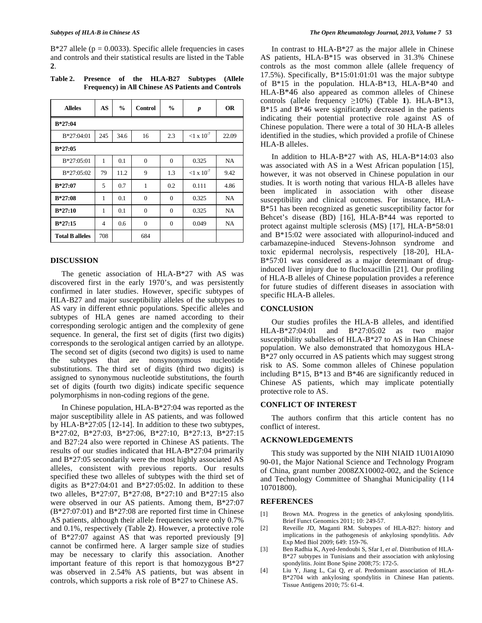$B*27$  allele (p = 0.0033). Specific allele frequencies in cases and controls and their statistical results are listed in the Table **2**.

**Table 2. Presence of the HLA-B27 Subtypes (Allele Frequency) in All Chinese AS Patients and Controls** 

| <b>Alleles</b>         | AS             | $\frac{0}{0}$ | <b>Control</b> | $\frac{6}{9}$ | $\boldsymbol{p}$     | <b>OR</b> |  |  |  |  |  |
|------------------------|----------------|---------------|----------------|---------------|----------------------|-----------|--|--|--|--|--|
| $B*27:04$              |                |               |                |               |                      |           |  |  |  |  |  |
| $B*27:04:01$           | 245            | 34.6          | 16             | 2.3           | $< 1 \times 10^{-7}$ | 22.09     |  |  |  |  |  |
| $B*27:05$              |                |               |                |               |                      |           |  |  |  |  |  |
| $B*27:05:01$           | 1              | 0.1           | $\theta$       | $\Omega$      | 0.325                | NA        |  |  |  |  |  |
| $B*27:05:02$           | 79             | 11.2          | 9              | 1.3           | ${1 \times 10^{-7}}$ | 9.42      |  |  |  |  |  |
| $B*27:07$              | 5              | 0.7           | 1              | 0.2           | 0.111                | 4.86      |  |  |  |  |  |
| $B*27:08$              | 1              | 0.1           | $\Omega$       | $\mathbf{0}$  | 0.325                | NA        |  |  |  |  |  |
| $B*27:10$              | 1              | 0.1           | $\Omega$       | $\mathbf{0}$  | 0.325                | <b>NA</b> |  |  |  |  |  |
| $B*27:15$              | $\overline{4}$ | 0.6           | $\Omega$       | $\Omega$      | 0.049                | <b>NA</b> |  |  |  |  |  |
| <b>Total B alleles</b> | 708            |               | 684            |               |                      |           |  |  |  |  |  |

# **DISCUSSION**

 The genetic association of HLA-B\*27 with AS was discovered first in the early 1970's, and was persistently confirmed in later studies. However, specific subtypes of HLA-B27 and major susceptibility alleles of the subtypes to AS vary in different ethnic populations. Specific alleles and subtypes of HLA genes are named according to their corresponding serologic antigen and the complexity of gene sequence. In general, the first set of digits (first two digits) corresponds to the serological antigen carried by an allotype. The second set of digits (second two digits) is used to name the subtypes that are nonsynonymous nucleotide substitutions. The third set of digits (third two digits) is assigned to synonymous nucleotide substitutions, the fourth set of digits (fourth two digits) indicate specific sequence polymorphisms in non-coding regions of the gene.

 In Chinese population, HLA-B\*27:04 was reported as the major susceptibility allele in AS patients, and was followed by HLA-B\*27:05 [12-14]. In addition to these two subtypes, B\*27:02, B\*27:03, B\*27:06, B\*27:10, B\*27:13, B\*27:15 and B27:24 also were reported in Chinese AS patients. The results of our studies indicated that HLA-B\*27:04 primarily and B\*27:05 secondarily were the most highly associated AS alleles, consistent with previous reports. Our results specified these two alleles of subtypes with the third set of digits as  $B*27:04:01$  and  $B*27:05:02$ . In addition to these two alleles, B\*27:07, B\*27:08, B\*27:10 and B\*27:15 also were observed in our AS patients. Among them, B\*27:07 (B\*27:07:01) and B\*27:08 are reported first time in Chinese AS patients, although their allele frequencies were only 0.7% and 0.1%, respectively (Table **2**). However, a protective role of B\*27:07 against AS that was reported previously [9] cannot be confirmed here. A larger sample size of studies may be necessary to clarify this association. Another important feature of this report is that homozygous B\*27 was observed in 2.54% AS patients, but was absent in controls, which supports a risk role of B\*27 to Chinese AS.

 In contrast to HLA-B\*27 as the major allele in Chinese AS patients, HLA-B\*15 was observed in 31.3% Chinese controls as the most common allele (allele frequency of 17.5%). Specifically, B\*15:01:01:01 was the major subtype of B\*15 in the population. HLA-B\*13, HLA-B\*40 and HLA-B\*46 also appeared as common alleles of Chinese controls (allele frequency  $\geq 10\%$ ) (Table 1). HLA-B\*13, B\*15 and B\*46 were significantly decreased in the patients indicating their potential protective role against AS of Chinese population. There were a total of 30 HLA-B alleles identified in the studies, which provided a profile of Chinese HLA-B alleles.

 In addition to HLA-B\*27 with AS, HLA-B\*14:03 also was associated with AS in a West African population [15], however, it was not observed in Chinese population in our studies. It is worth noting that various HLA-B alleles have been implicated in association with other disease susceptibility and clinical outcomes. For instance, HLA-B\*51 has been recognized as genetic susceptibility factor for Behcet's disease (BD) [16], HLA-B\*44 was reported to protect against multiple sclerosis (MS) [17], HLA-B\*58:01 and B\*15:02 were associated with allopurinol-induced and carbamazepine-induced Stevens-Johnson syndrome and toxic epidermal necrolysis, respectively [18-20], HLA-B\*57:01 was considered as a major determinant of druginduced liver injury due to flucloxacillin [21]. Our profiling of HLA-B alleles of Chinese population provides a reference for future studies of different diseases in association with specific HLA-B alleles.

# **CONCLUSION**

 Our studies profiles the HLA-B alleles, and identified HLA-B\*27:04:01 and B\*27:05:02 as two major susceptibility suballeles of HLA-B\*27 to AS in Han Chinese population. We also demonstrated that homozygous HLA-B\*27 only occurred in AS patients which may suggest strong risk to AS. Some common alleles of Chinese population including B\*15, B\*13 and B\*46 are significantly reduced in Chinese AS patients, which may implicate potentially protective role to AS.

## **CONFLICT OF INTEREST**

 The authors confirm that this article content has no conflict of interest.

## **ACKNOWLEDGEMENTS**

 This study was supported by the NIH NIAID 1U01AI090 90-01, the Major National Science and Technology Program of China, grant number 2008ZX10002-002, and the Science and Technology Committee of Shanghai Municipality (114 10701800).

#### **REFERENCES**

- [1] Brown MA. Progress in the genetics of ankylosing spondylitis. Brief Funct Genomics 2011; 10: 249-57.
- [2] Reveille JD, Maganti RM. Subtypes of HLA-B27: history and implications in the pathogenesis of ankylosing spondylitis. Adv Exp Med Biol 2009; 649: 159-76.
- [3] Ben Radhia K, Ayed-Jendoubi S, Sfar I, *et al*. Distribution of HLA-B\*27 subtypes in Tunisians and their association with ankylosing spondylitis. Joint Bone Spine 2008;75: 172-5.
- [4] Liu Y, Jiang L, Cai Q, *et al*. Predominant association of HLA-B\*2704 with ankylosing spondylitis in Chinese Han patients. Tissue Antigens 2010; 75: 61-4.